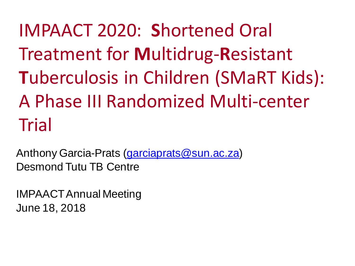IMPAACT 2020: **S**hortened Oral Treatment for **M**ultidrug-**R**esistant **T**uberculosis in Children (SMaRT Kids): A Phase III Randomized Multi-center Trial

Anthony Garcia-Prats [\(garciaprats@sun.ac.za](mailto:garciaprats@sun.ac.za)) Desmond Tutu TB Centre

IMPAACT Annual Meeting June 18, 2018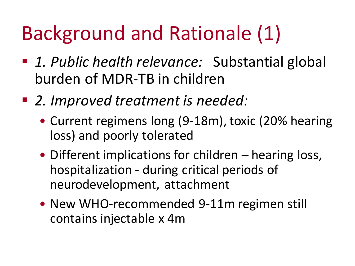# Background and Rationale (1)

- 1. Public health relevance: Substantial global burden of MDR-TB in children
- 2. Improved treatment is needed:
	- Current regimens long (9-18m), toxic (20% hearing loss) and poorly tolerated
	- Different implications for children hearing loss, hospitalization - during critical periods of neurodevelopment, attachment
	- New WHO-recommended 9-11m regimen still contains injectable x 4m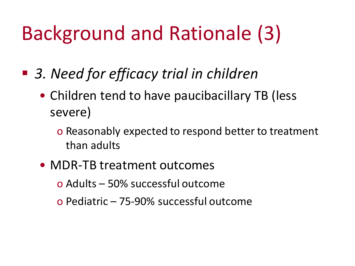# Background and Rationale (3)

- 3. Need for efficacy trial in children
	- Children tend to have paucibacillary TB (less severe)
		- o Reasonably expected to respond better to treatment than adults
	- MDR-TB treatment outcomes
		- o Adults 50% successful outcome
		- o Pediatric 75-90% successful outcome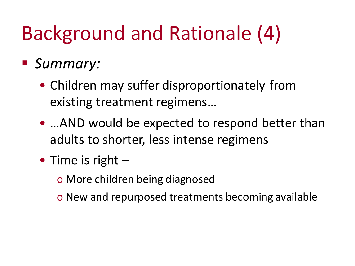# Background and Rationale (4)

#### ▪ *Summary:*

- Children may suffer disproportionately from existing treatment regimens…
- …AND would be expected to respond better than adults to shorter, less intense regimens
- Time is right
	- o More children being diagnosed
	- o New and repurposed treatments becoming available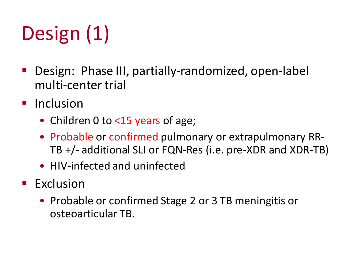# Design (1)

- Design: Phase III, partially-randomized, open-label multi-center trial
- Inclusion
	- Children 0 to <15 years of age;
	- Probable or confirmed pulmonary or extrapulmonary RR-TB +/- additional SLI or FQN-Res (i.e. pre-XDR and XDR-TB)
	- HIV-infected and uninfected
- **Exclusion** 
	- Probable or confirmed Stage 2 or 3 TB meningitis or osteoarticular TB.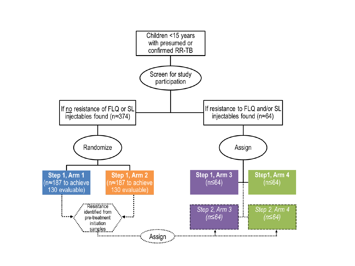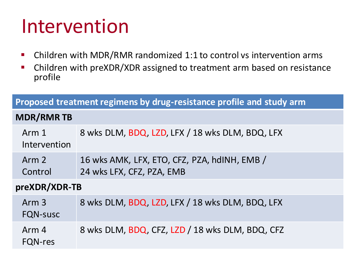### Intervention

- Children with MDR/RMR randomized 1:1 to control vs intervention arms
- Children with preXDR/XDR assigned to treatment arm based on resistance profile

| Proposed treatment regimens by drug-resistance profile and study arm |                                                                           |
|----------------------------------------------------------------------|---------------------------------------------------------------------------|
| <b>MDR/RMRTB</b>                                                     |                                                                           |
| Arm 1<br>Intervention                                                | 8 wks DLM, BDQ, LZD, LFX / 18 wks DLM, BDQ, LFX                           |
| Arm 2<br>Control                                                     | 16 wks AMK, LFX, ETO, CFZ, PZA, hdINH, EMB /<br>24 wks LFX, CFZ, PZA, EMB |
| preXDR/XDR-TB                                                        |                                                                           |
| Arm <sub>3</sub><br><b>FQN-susc</b>                                  | 8 wks DLM, BDQ, LZD, LFX / 18 wks DLM, BDQ, LFX                           |
| Arm 4<br><b>FQN-res</b>                                              | 8 wks DLM, BDQ, CFZ, LZD / 18 wks DLM, BDQ, CFZ                           |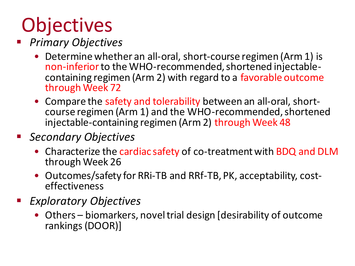# **Objectives**

- **Primary Objectives** 
	- Determine whether an all-oral, short-course regimen (Arm 1) is non-inferior to the WHO-recommended, shortened injectablecontaining regimen (Arm 2) with regard to a favorable outcome through Week 72
	- Compare the safety and tolerability between an all-oral, shortcourse regimen (Arm 1) and the WHO-recommended, shortened injectable-containing regimen (Arm 2) through Week 48
- **Secondary Objectives** 
	- Characterize the cardiac safety of co-treatment with BDQ and DLM through Week 26
	- Outcomes/safety for RRi-TB and RRf-TB, PK, acceptability, costeffectiveness
- *Exploratory Objectives*
	- Others biomarkers, novel trial design [desirability of outcome rankings (DOOR)]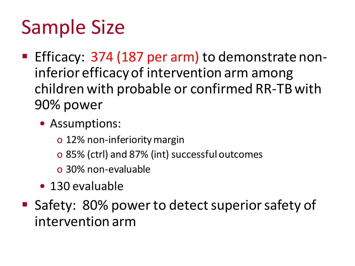# Sample Size

- Efficacy: 374 (187 per arm) to demonstrate noninferior efficacy of intervention arm among children with probable or confirmed RR-TB with 90% power
	- Assumptions:
		- o 12% non-inferiority margin
		- o 85% (ctrl) and 87% (int) successful outcomes
		- o 30% non-evaluable
	- 130 evaluable
- Safety: 80% power to detect superior safety of intervention arm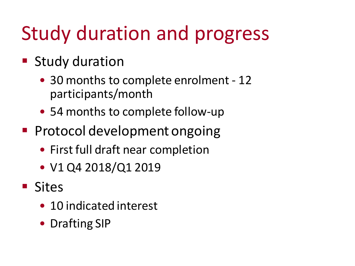# Study duration and progress

- Study duration
	- 30 months to complete enrolment 12 participants/month
	- 54 months to complete follow-up
- Protocol development ongoing
	- First full draft near completion
	- V1 Q4 2018/Q1 2019
- Sites
	- 10 indicated interest
	- Drafting SIP